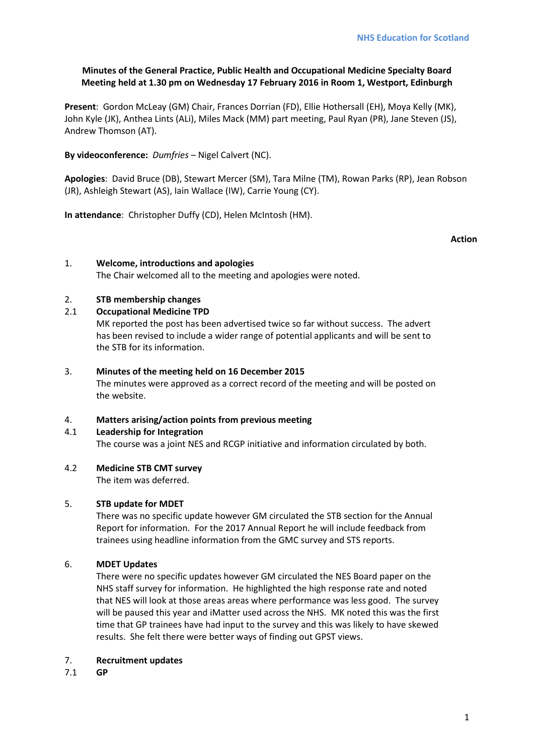# **Minutes of the General Practice, Public Health and Occupational Medicine Specialty Board Meeting held at 1.30 pm on Wednesday 17 February 2016 in Room 1, Westport, Edinburgh**

**Present**: Gordon McLeay (GM) Chair, Frances Dorrian (FD), Ellie Hothersall (EH), Moya Kelly (MK), John Kyle (JK), Anthea Lints (ALi), Miles Mack (MM) part meeting, Paul Ryan (PR), Jane Steven (JS), Andrew Thomson (AT).

**By videoconference:** *Dumfries* – Nigel Calvert (NC).

**Apologies**: David Bruce (DB), Stewart Mercer (SM), Tara Milne (TM), Rowan Parks (RP), Jean Robson (JR), Ashleigh Stewart (AS), Iain Wallace (IW), Carrie Young (CY).

**In attendance**: Christopher Duffy (CD), Helen McIntosh (HM).

**Action**

# 1. **Welcome, introductions and apologies**

The Chair welcomed all to the meeting and apologies were noted.

# 2. **STB membership changes**

## 2.1 **Occupational Medicine TPD**

MK reported the post has been advertised twice so far without success. The advert has been revised to include a wider range of potential applicants and will be sent to the STB for its information.

## 3. **Minutes of the meeting held on 16 December 2015**

The minutes were approved as a correct record of the meeting and will be posted on the website.

## 4. **Matters arising/action points from previous meeting**

## 4.1 **Leadership for Integration**

The course was a joint NES and RCGP initiative and information circulated by both.

## 4.2 **Medicine STB CMT survey**

The item was deferred.

## 5. **STB update for MDET**

There was no specific update however GM circulated the STB section for the Annual Report for information. For the 2017 Annual Report he will include feedback from trainees using headline information from the GMC survey and STS reports.

## 6. **MDET Updates**

There were no specific updates however GM circulated the NES Board paper on the NHS staff survey for information. He highlighted the high response rate and noted that NES will look at those areas areas where performance was less good. The survey will be paused this year and iMatter used across the NHS. MK noted this was the first time that GP trainees have had input to the survey and this was likely to have skewed results. She felt there were better ways of finding out GPST views.

## 7. **Recruitment updates**

7.1 **GP**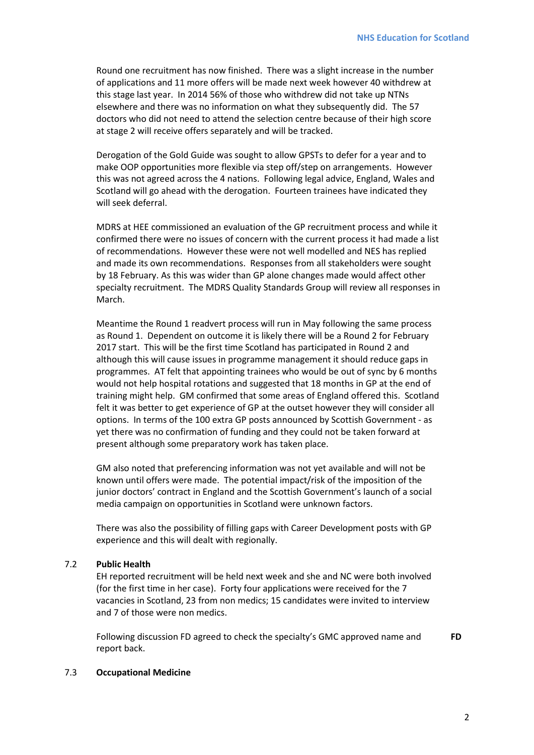Round one recruitment has now finished. There was a slight increase in the number of applications and 11 more offers will be made next week however 40 withdrew at this stage last year. In 2014 56% of those who withdrew did not take up NTNs elsewhere and there was no information on what they subsequently did. The 57 doctors who did not need to attend the selection centre because of their high score at stage 2 will receive offers separately and will be tracked.

Derogation of the Gold Guide was sought to allow GPSTs to defer for a year and to make OOP opportunities more flexible via step off/step on arrangements. However this was not agreed across the 4 nations. Following legal advice, England, Wales and Scotland will go ahead with the derogation. Fourteen trainees have indicated they will seek deferral.

MDRS at HEE commissioned an evaluation of the GP recruitment process and while it confirmed there were no issues of concern with the current process it had made a list of recommendations. However these were not well modelled and NES has replied and made its own recommendations. Responses from all stakeholders were sought by 18 February. As this was wider than GP alone changes made would affect other specialty recruitment. The MDRS Quality Standards Group will review all responses in March.

Meantime the Round 1 readvert process will run in May following the same process as Round 1. Dependent on outcome it is likely there will be a Round 2 for February 2017 start. This will be the first time Scotland has participated in Round 2 and although this will cause issues in programme management it should reduce gaps in programmes. AT felt that appointing trainees who would be out of sync by 6 months would not help hospital rotations and suggested that 18 months in GP at the end of training might help. GM confirmed that some areas of England offered this. Scotland felt it was better to get experience of GP at the outset however they will consider all options. In terms of the 100 extra GP posts announced by Scottish Government - as yet there was no confirmation of funding and they could not be taken forward at present although some preparatory work has taken place.

GM also noted that preferencing information was not yet available and will not be known until offers were made. The potential impact/risk of the imposition of the junior doctors' contract in England and the Scottish Government's launch of a social media campaign on opportunities in Scotland were unknown factors.

There was also the possibility of filling gaps with Career Development posts with GP experience and this will dealt with regionally.

## 7.2 **Public Health**

EH reported recruitment will be held next week and she and NC were both involved (for the first time in her case). Forty four applications were received for the 7 vacancies in Scotland, 23 from non medics; 15 candidates were invited to interview and 7 of those were non medics.

Following discussion FD agreed to check the specialty's GMC approved name and report back.

## 7.3 **Occupational Medicine**

**FD**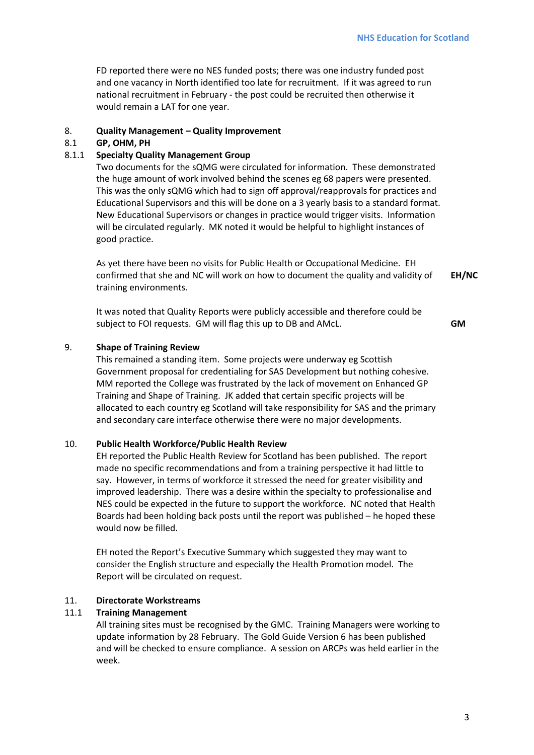FD reported there were no NES funded posts; there was one industry funded post and one vacancy in North identified too late for recruitment. If it was agreed to run national recruitment in February - the post could be recruited then otherwise it would remain a LAT for one year.

## 8. **Quality Management – Quality Improvement**

## 8.1 **GP, OHM, PH**

# 8.1.1 **Specialty Quality Management Group**

Two documents for the sQMG were circulated for information. These demonstrated the huge amount of work involved behind the scenes eg 68 papers were presented. This was the only sQMG which had to sign off approval/reapprovals for practices and Educational Supervisors and this will be done on a 3 yearly basis to a standard format. New Educational Supervisors or changes in practice would trigger visits. Information will be circulated regularly. MK noted it would be helpful to highlight instances of good practice.

As yet there have been no visits for Public Health or Occupational Medicine. EH confirmed that she and NC will work on how to document the quality and validity of training environments. **EH/NC**

It was noted that Quality Reports were publicly accessible and therefore could be subject to FOI requests. GM will flag this up to DB and AMcL.

**GM**

## 9. **Shape of Training Review**

This remained a standing item. Some projects were underway eg Scottish Government proposal for credentialing for SAS Development but nothing cohesive. MM reported the College was frustrated by the lack of movement on Enhanced GP Training and Shape of Training. JK added that certain specific projects will be allocated to each country eg Scotland will take responsibility for SAS and the primary and secondary care interface otherwise there were no major developments.

## 10. **Public Health Workforce/Public Health Review**

EH reported the Public Health Review for Scotland has been published. The report made no specific recommendations and from a training perspective it had little to say. However, in terms of workforce it stressed the need for greater visibility and improved leadership. There was a desire within the specialty to professionalise and NES could be expected in the future to support the workforce. NC noted that Health Boards had been holding back posts until the report was published – he hoped these would now be filled.

EH noted the Report's Executive Summary which suggested they may want to consider the English structure and especially the Health Promotion model. The Report will be circulated on request.

## 11. **Directorate Workstreams**

## 11.1 **Training Management**

All training sites must be recognised by the GMC. Training Managers were working to update information by 28 February. The Gold Guide Version 6 has been published and will be checked to ensure compliance. A session on ARCPs was held earlier in the week.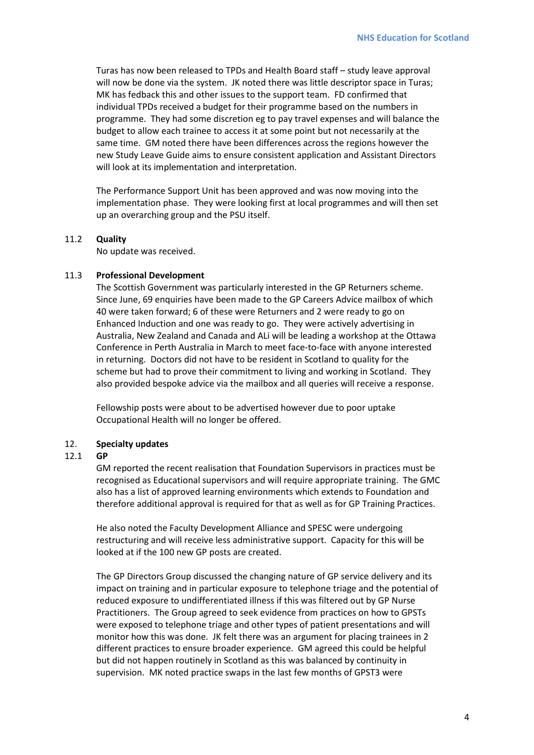Turas has now been released to TPDs and Health Board staff – study leave approval will now be done via the system. JK noted there was little descriptor space in Turas; MK has fedback this and other issues to the support team. FD confirmed that individual TPDs received a budget for their programme based on the numbers in programme. They had some discretion eg to pay travel expenses and will balance the budget to allow each trainee to access it at some point but not necessarily at the same time. GM noted there have been differences across the regions however the new Study Leave Guide aims to ensure consistent application and Assistant Directors will look at its implementation and interpretation.

The Performance Support Unit has been approved and was now moving into the implementation phase. They were looking first at local programmes and will then set up an overarching group and the PSU itself.

## 11.2 **Quality**

No update was received.

#### 11.3 **Professional Development**

The Scottish Government was particularly interested in the GP Returners scheme. Since June, 69 enquiries have been made to the GP Careers Advice mailbox of which 40 were taken forward; 6 of these were Returners and 2 were ready to go on Enhanced Induction and one was ready to go. They were actively advertising in Australia, New Zealand and Canada and ALi will be leading a workshop at the Ottawa Conference in Perth Australia in March to meet face-to-face with anyone interested in returning. Doctors did not have to be resident in Scotland to quality for the scheme but had to prove their commitment to living and working in Scotland. They also provided bespoke advice via the mailbox and all queries will receive a response.

Fellowship posts were about to be advertised however due to poor uptake Occupational Health will no longer be offered.

#### 12. **Specialty updates**

#### 12.1 **GP**

GM reported the recent realisation that Foundation Supervisors in practices must be recognised as Educational supervisors and will require appropriate training. The GMC also has a list of approved learning environments which extends to Foundation and therefore additional approval is required for that as well as for GP Training Practices.

He also noted the Faculty Development Alliance and SPESC were undergoing restructuring and will receive less administrative support. Capacity for this will be looked at if the 100 new GP posts are created.

The GP Directors Group discussed the changing nature of GP service delivery and its impact on training and in particular exposure to telephone triage and the potential of reduced exposure to undifferentiated illness if this was filtered out by GP Nurse Practitioners. The Group agreed to seek evidence from practices on how to GPSTs were exposed to telephone triage and other types of patient presentations and will monitor how this was done. JK felt there was an argument for placing trainees in 2 different practices to ensure broader experience. GM agreed this could be helpful but did not happen routinely in Scotland as this was balanced by continuity in supervision. MK noted practice swaps in the last few months of GPST3 were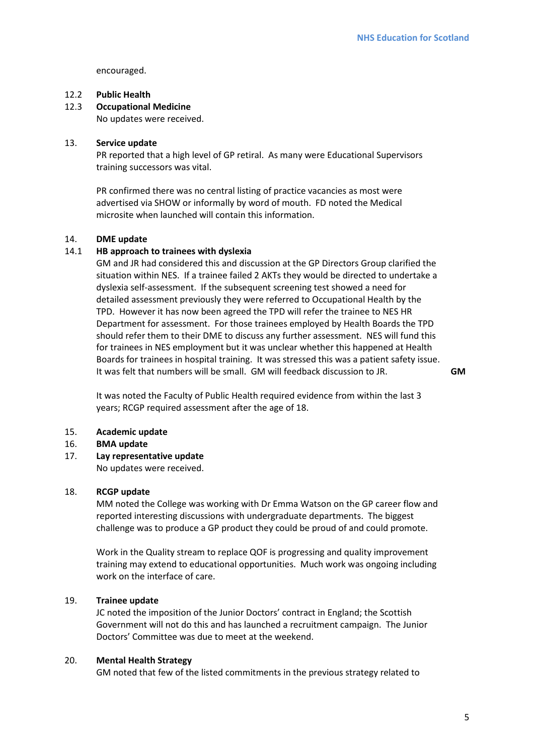encouraged.

# 12.2 **Public Health**

## 12.3 **Occupational Medicine**

No updates were received.

## 13. **Service update**

PR reported that a high level of GP retiral. As many were Educational Supervisors training successors was vital.

PR confirmed there was no central listing of practice vacancies as most were advertised via SHOW or informally by word of mouth. FD noted the Medical microsite when launched will contain this information.

#### 14. **DME update**

# 14.1 **HB approach to trainees with dyslexia**

GM and JR had considered this and discussion at the GP Directors Group clarified the situation within NES. If a trainee failed 2 AKTs they would be directed to undertake a dyslexia self-assessment. If the subsequent screening test showed a need for detailed assessment previously they were referred to Occupational Health by the TPD. However it has now been agreed the TPD will refer the trainee to NES HR Department for assessment. For those trainees employed by Health Boards the TPD should refer them to their DME to discuss any further assessment. NES will fund this for trainees in NES employment but it was unclear whether this happened at Health Boards for trainees in hospital training. It was stressed this was a patient safety issue. It was felt that numbers will be small. GM will feedback discussion to JR.

**GM**

It was noted the Faculty of Public Health required evidence from within the last 3 years; RCGP required assessment after the age of 18.

#### 15. **Academic update**

#### 16. **BMA update**

#### 17. **Lay representative update**

No updates were received.

#### 18. **RCGP update**

MM noted the College was working with Dr Emma Watson on the GP career flow and reported interesting discussions with undergraduate departments. The biggest challenge was to produce a GP product they could be proud of and could promote.

Work in the Quality stream to replace QOF is progressing and quality improvement training may extend to educational opportunities. Much work was ongoing including work on the interface of care.

#### 19. **Trainee update**

JC noted the imposition of the Junior Doctors' contract in England; the Scottish Government will not do this and has launched a recruitment campaign. The Junior Doctors' Committee was due to meet at the weekend.

#### 20. **Mental Health Strategy**

GM noted that few of the listed commitments in the previous strategy related to